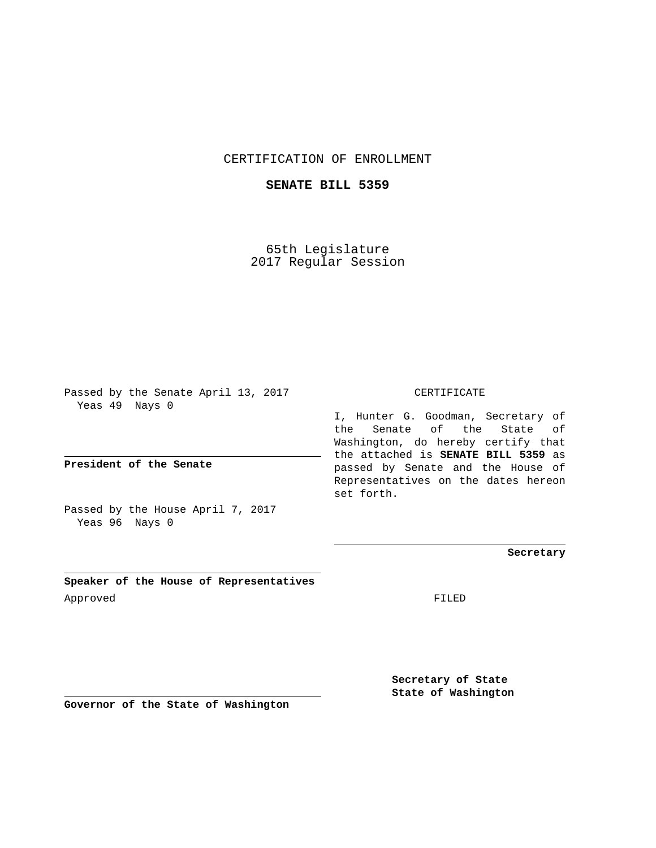## CERTIFICATION OF ENROLLMENT

## **SENATE BILL 5359**

65th Legislature 2017 Regular Session

Passed by the Senate April 13, 2017 Yeas 49 Nays 0

**President of the Senate**

Passed by the House April 7, 2017 Yeas 96 Nays 0

**Speaker of the House of Representatives** Approved FILED

CERTIFICATE

I, Hunter G. Goodman, Secretary of the Senate of the State of Washington, do hereby certify that the attached is **SENATE BILL 5359** as passed by Senate and the House of Representatives on the dates hereon set forth.

**Secretary**

**Secretary of State State of Washington**

**Governor of the State of Washington**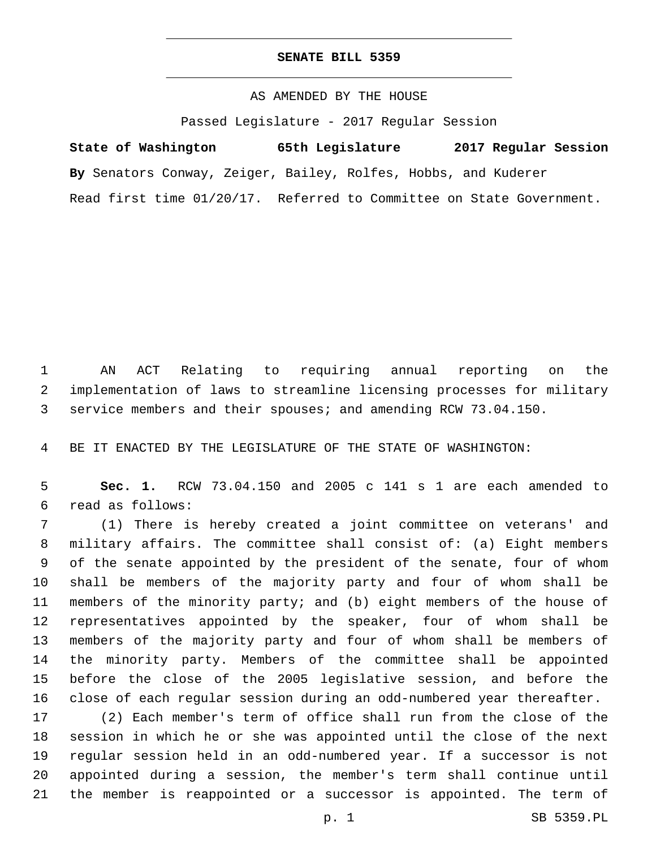## **SENATE BILL 5359**

AS AMENDED BY THE HOUSE

Passed Legislature - 2017 Regular Session

**State of Washington 65th Legislature 2017 Regular Session By** Senators Conway, Zeiger, Bailey, Rolfes, Hobbs, and Kuderer Read first time 01/20/17. Referred to Committee on State Government.

 AN ACT Relating to requiring annual reporting on the implementation of laws to streamline licensing processes for military service members and their spouses; and amending RCW 73.04.150.

BE IT ENACTED BY THE LEGISLATURE OF THE STATE OF WASHINGTON:

 **Sec. 1.** RCW 73.04.150 and 2005 c 141 s 1 are each amended to read as follows:6

 (1) There is hereby created a joint committee on veterans' and military affairs. The committee shall consist of: (a) Eight members of the senate appointed by the president of the senate, four of whom shall be members of the majority party and four of whom shall be members of the minority party; and (b) eight members of the house of representatives appointed by the speaker, four of whom shall be members of the majority party and four of whom shall be members of the minority party. Members of the committee shall be appointed before the close of the 2005 legislative session, and before the close of each regular session during an odd-numbered year thereafter.

 (2) Each member's term of office shall run from the close of the session in which he or she was appointed until the close of the next regular session held in an odd-numbered year. If a successor is not appointed during a session, the member's term shall continue until the member is reappointed or a successor is appointed. The term of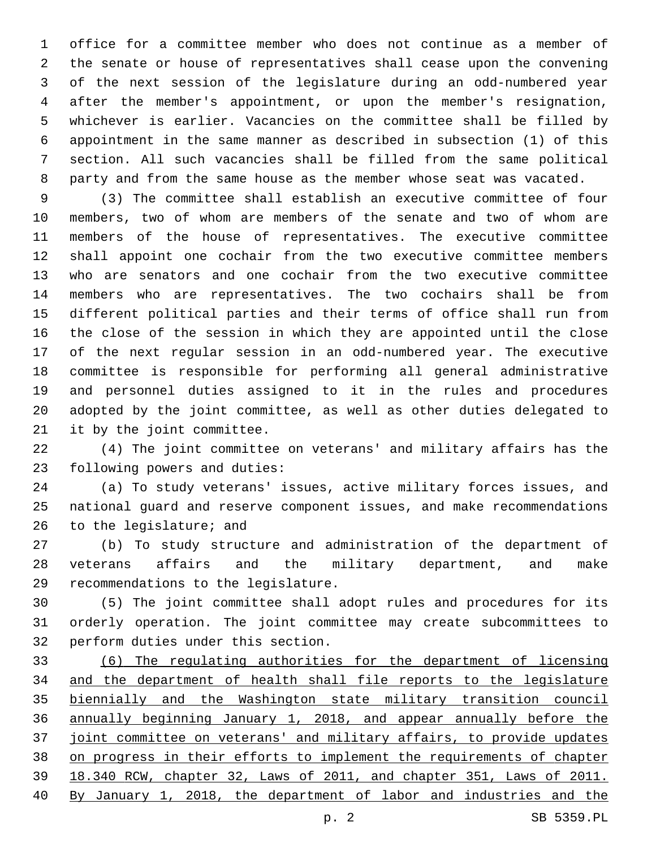office for a committee member who does not continue as a member of the senate or house of representatives shall cease upon the convening of the next session of the legislature during an odd-numbered year after the member's appointment, or upon the member's resignation, whichever is earlier. Vacancies on the committee shall be filled by appointment in the same manner as described in subsection (1) of this section. All such vacancies shall be filled from the same political party and from the same house as the member whose seat was vacated.

 (3) The committee shall establish an executive committee of four members, two of whom are members of the senate and two of whom are members of the house of representatives. The executive committee shall appoint one cochair from the two executive committee members who are senators and one cochair from the two executive committee members who are representatives. The two cochairs shall be from different political parties and their terms of office shall run from the close of the session in which they are appointed until the close of the next regular session in an odd-numbered year. The executive committee is responsible for performing all general administrative and personnel duties assigned to it in the rules and procedures adopted by the joint committee, as well as other duties delegated to 21 it by the joint committee.

 (4) The joint committee on veterans' and military affairs has the 23 following powers and duties:

 (a) To study veterans' issues, active military forces issues, and national guard and reserve component issues, and make recommendations 26 to the legislature; and

 (b) To study structure and administration of the department of veterans affairs and the military department, and make 29 recommendations to the legislature.

 (5) The joint committee shall adopt rules and procedures for its orderly operation. The joint committee may create subcommittees to 32 perform duties under this section.

 (6) The regulating authorities for the department of licensing 34 and the department of health shall file reports to the legislature biennially and the Washington state military transition council annually beginning January 1, 2018, and appear annually before the joint committee on veterans' and military affairs, to provide updates on progress in their efforts to implement the requirements of chapter 18.340 RCW, chapter 32, Laws of 2011, and chapter 351, Laws of 2011. By January 1, 2018, the department of labor and industries and the